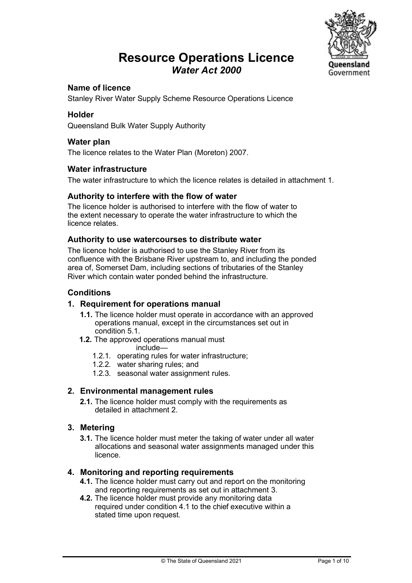# Resource Operations Licence Water Act 2000



## Name of licence

Stanley River Water Supply Scheme Resource Operations Licence

### **Holder**

Queensland Bulk Water Supply Authority

#### Water plan

The licence relates to the Water Plan (Moreton) 2007.

#### Water infrastructure

The water infrastructure to which the licence relates is detailed in attachment 1.

#### Authority to interfere with the flow of water

The licence holder is authorised to interfere with the flow of water to the extent necessary to operate the water infrastructure to which the licence relates.

#### Authority to use watercourses to distribute water

The licence holder is authorised to use the Stanley River from its confluence with the Brisbane River upstream to, and including the ponded area of, Somerset Dam, including sections of tributaries of the Stanley River which contain water ponded behind the infrastructure.

#### **Conditions**

#### 1. Requirement for operations manual

- 1.1. The licence holder must operate in accordance with an approved operations manual, except in the circumstances set out in condition 5.1.
- 1.2. The approved operations manual must
	- include—
	- 1.2.1. operating rules for water infrastructure;
	- 1.2.2. water sharing rules; and
	- 1.2.3. seasonal water assignment rules.

#### 2. Environmental management rules

2.1. The licence holder must comply with the requirements as detailed in attachment 2.

### 3. Metering

3.1. The licence holder must meter the taking of water under all water allocations and seasonal water assignments managed under this licence.

## 4. Monitoring and reporting requirements

- 4.1. The licence holder must carry out and report on the monitoring and reporting requirements as set out in attachment 3.
- 4.2. The licence holder must provide any monitoring data required under condition 4.1 to the chief executive within a stated time upon request.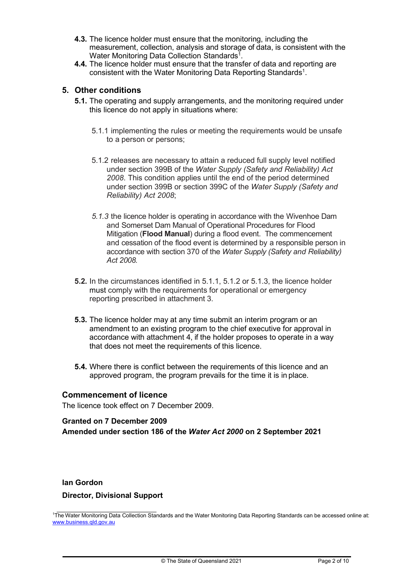- 4.3. The licence holder must ensure that the monitoring, including the measurement, collection, analysis and storage of data, is consistent with the Water Monitoring Data Collection Standards<sup>1</sup>.
- 4.4. The licence holder must ensure that the transfer of data and reporting are consistent with the Water Monitoring Data Reporting Standards<sup>1</sup>.

#### 5. Other conditions

- 5.1. The operating and supply arrangements, and the monitoring required under this licence do not apply in situations where:
	- 5.1.1 implementing the rules or meeting the requirements would be unsafe to a person or persons;
	- 5.1.2 releases are necessary to attain a reduced full supply level notified under section 399B of the Water Supply (Safety and Reliability) Act 2008. This condition applies until the end of the period determined under section 399B or section 399C of the Water Supply (Safety and Reliability) Act 2008;
	- 5.1.3 the licence holder is operating in accordance with the Wivenhoe Dam and Somerset Dam Manual of Operational Procedures for Flood Mitigation (**Flood Manual**) during a flood event. The commencement and cessation of the flood event is determined by a responsible person in accordance with section 370 of the Water Supply (Safety and Reliability) Act 2008.
- 5.2. In the circumstances identified in 5.1.1, 5.1.2 or 5.1.3, the licence holder must comply with the requirements for operational or emergency reporting prescribed in attachment 3.
- 5.3. The licence holder may at any time submit an interim program or an amendment to an existing program to the chief executive for approval in accordance with attachment 4, if the holder proposes to operate in a way that does not meet the requirements of this licence.
- 5.4. Where there is conflict between the requirements of this licence and an approved program, the program prevails for the time it is in place.

#### Commencement of licence

The licence took effect on 7 December 2009.

#### Granted on 7 December 2009 Amended under section 186 of the Water Act 2000 on 2 September 2021

#### Ian Gordon

#### Director, Divisional Support

<sup>1</sup>The Water Monitoring Data Collection Standards and the Water Monitoring Data Reporting Standards can be accessed online at: www.business.qld.gov.au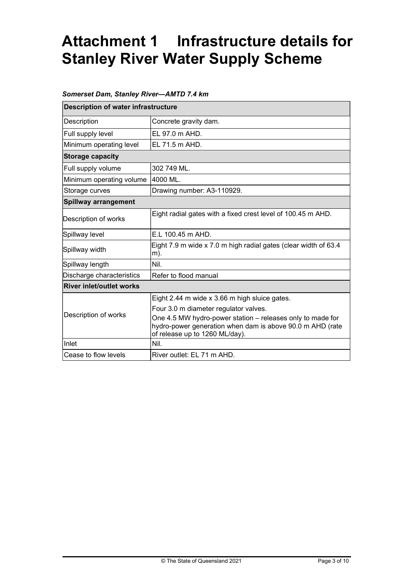# Attachment 1 Infrastructure details for Stanley River Water Supply Scheme

#### Somerset Dam, Stanley River—AMTD 7.4 km

| <b>Description of water infrastructure</b> |                                                                                                                                                           |  |  |
|--------------------------------------------|-----------------------------------------------------------------------------------------------------------------------------------------------------------|--|--|
| Description                                | Concrete gravity dam.                                                                                                                                     |  |  |
| Full supply level                          | EL 97.0 m AHD.                                                                                                                                            |  |  |
| Minimum operating level                    | EL 71.5 m AHD.                                                                                                                                            |  |  |
| <b>Storage capacity</b>                    |                                                                                                                                                           |  |  |
| Full supply volume                         | 302 749 ML.                                                                                                                                               |  |  |
| Minimum operating volume                   | 4000 ML.                                                                                                                                                  |  |  |
| Storage curves                             | Drawing number: A3-110929.                                                                                                                                |  |  |
| Spillway arrangement                       |                                                                                                                                                           |  |  |
| Description of works                       | Eight radial gates with a fixed crest level of 100.45 m AHD.                                                                                              |  |  |
| Spillway level                             | E.L 100.45 m AHD.                                                                                                                                         |  |  |
| Spillway width                             | Eight 7.9 m wide x 7.0 m high radial gates (clear width of 63.4<br>m).                                                                                    |  |  |
| Spillway length                            | Nil.                                                                                                                                                      |  |  |
| Discharge characteristics                  | Refer to flood manual                                                                                                                                     |  |  |
| <b>River inlet/outlet works</b>            |                                                                                                                                                           |  |  |
| Description of works                       | Eight 2.44 m wide x 3.66 m high sluice gates.                                                                                                             |  |  |
|                                            | Four 3.0 m diameter regulator valves.                                                                                                                     |  |  |
|                                            | One 4.5 MW hydro-power station - releases only to made for<br>hydro-power generation when dam is above 90.0 m AHD (rate<br>of release up to 1260 ML/day). |  |  |
| Inlet                                      | Nil.                                                                                                                                                      |  |  |
| Cease to flow levels                       | River outlet: EL 71 m AHD.                                                                                                                                |  |  |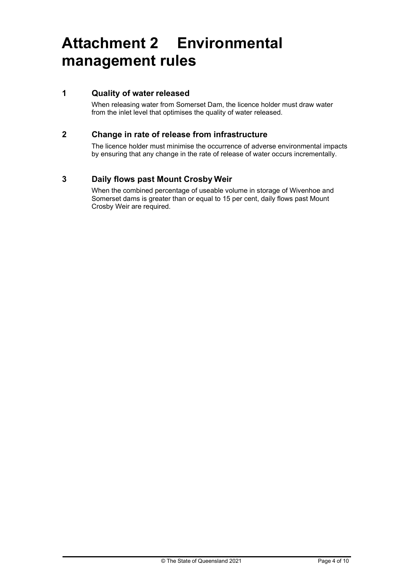# Attachment 2 Environmental management rules

## 1 Quality of water released

When releasing water from Somerset Dam, the licence holder must draw water from the inlet level that optimises the quality of water released.

## 2 Change in rate of release from infrastructure

The licence holder must minimise the occurrence of adverse environmental impacts by ensuring that any change in the rate of release of water occurs incrementally.

# 3 Daily flows past Mount Crosby Weir

When the combined percentage of useable volume in storage of Wivenhoe and Somerset dams is greater than or equal to 15 per cent, daily flows past Mount Crosby Weir are required.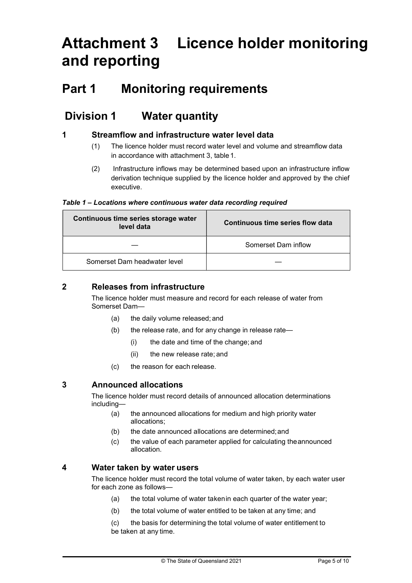# Attachment 3 Licence holder monitoring and reporting

# Part 1 Monitoring requirements

# Division 1 Water quantity

## 1 Streamflow and infrastructure water level data

- (1) The licence holder must record water level and volume and streamflow data in accordance with attachment 3, table 1.
- (2) Infrastructure inflows may be determined based upon an infrastructure inflow derivation technique supplied by the licence holder and approved by the chief executive.

Table 1 – Locations where continuous water data recording required

| Continuous time series storage water<br>level data | Continuous time series flow data |
|----------------------------------------------------|----------------------------------|
|                                                    | Somerset Dam inflow              |
| Somerset Dam headwater level                       |                                  |

## 2 Releases from infrastructure

The licence holder must measure and record for each release of water from Somerset Dam—

- (a) the daily volume released; and
- (b) the release rate, and for any change in release rate—
	- (i) the date and time of the change; and
	- (ii) the new release rate; and
- (c) the reason for each release.

## 3 Announced allocations

The licence holder must record details of announced allocation determinations including—

- (a) the announced allocations for medium and high priority water allocations;
- (b) the date announced allocations are determined; and
- (c) the value of each parameter applied for calculating the announced allocation.

## 4 Water taken by water users

The licence holder must record the total volume of water taken, by each water user for each zone as follows—

- (a) the total volume of water taken in each quarter of the water year;
- (b) the total volume of water entitled to be taken at any time; and

(c) the basis for determining the total volume of water entitlement to be taken at any time.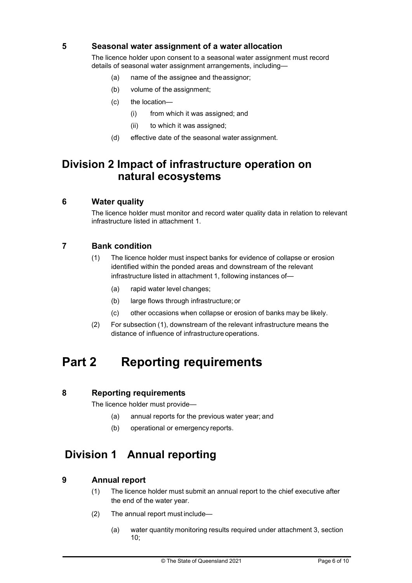## 5 Seasonal water assignment of a water allocation

The licence holder upon consent to a seasonal water assignment must record details of seasonal water assignment arrangements, including—

- (a) name of the assignee and the assignor;
- (b) volume of the assignment;
- (c) the location—
	- (i) from which it was assigned; and
	- (ii) to which it was assigned;
- (d) effective date of the seasonal water assignment.

# Division 2 Impact of infrastructure operation on natural ecosystems

## 6 Water quality

The licence holder must monitor and record water quality data in relation to relevant infrastructure listed in attachment 1.

#### 7 Bank condition

- (1) The licence holder must inspect banks for evidence of collapse or erosion identified within the ponded areas and downstream of the relevant infrastructure listed in attachment 1, following instances of—
	- (a) rapid water level changes;
	- (b) large flows through infrastructure; or
	- (c) other occasions when collapse or erosion of banks may be likely.
- (2) For subsection (1), downstream of the relevant infrastructure means the distance of influence of infrastructure operations.

# Part 2 Reporting requirements

#### 8 Reporting requirements

The licence holder must provide—

- (a) annual reports for the previous water year; and
- (b) operational or emergency reports.

# Division 1 Annual reporting

#### 9 Annual report

- (1) The licence holder must submit an annual report to the chief executive after the end of the water year.
- (2) The annual report must include—
	- (a) water quantity monitoring results required under attachment 3, section 10;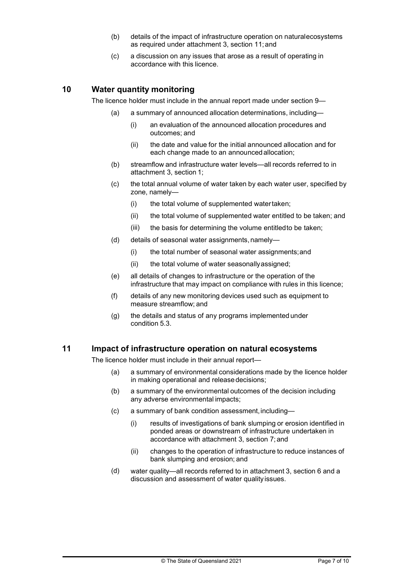- (b) details of the impact of infrastructure operation on natural ecosystems as required under attachment 3, section 11; and
- (c) a discussion on any issues that arose as a result of operating in accordance with this licence.

# 10 Water quantity monitoring

The licence holder must include in the annual report made under section 9—

- (a) a summary of announced allocation determinations, including—
	- (i) an evaluation of the announced allocation procedures and outcomes; and
	- (ii) the date and value for the initial announced allocation and for each change made to an announced allocation;
- (b) streamflow and infrastructure water levels—all records referred to in attachment 3, section 1;
- (c) the total annual volume of water taken by each water user, specified by zone, namely—
	- (i) the total volume of supplemented water taken;
	- (ii) the total volume of supplemented water entitled to be taken; and
	- (iii) the basis for determining the volume entitled to be taken;
- (d) details of seasonal water assignments, namely—
	- (i) the total number of seasonal water assignments; and
	- (ii) the total volume of water seasonally assigned:
- (e) all details of changes to infrastructure or the operation of the infrastructure that may impact on compliance with rules in this licence;
- (f) details of any new monitoring devices used such as equipment to measure streamflow; and
- (g) the details and status of any programs implemented under condition 5.3.

#### 11 Impact of infrastructure operation on natural ecosystems

The licence holder must include in their annual report—

- (a) a summary of environmental considerations made by the licence holder in making operational and release decisions;
- (b) a summary of the environmental outcomes of the decision including any adverse environmental impacts;
- (c) a summary of bank condition assessment, including—
	- (i) results of investigations of bank slumping or erosion identified in ponded areas or downstream of infrastructure undertaken in accordance with attachment 3, section 7; and
	- (ii) changes to the operation of infrastructure to reduce instances of bank slumping and erosion; and
- (d) water quality—all records referred to in attachment 3, section 6 and a discussion and assessment of water quality issues.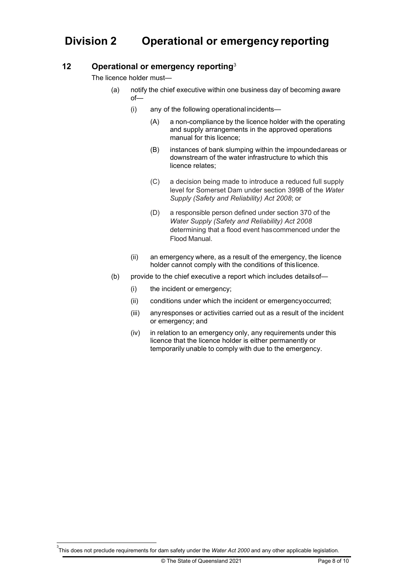# Division 2 Operational or emergency reporting

## 12 Operational or emergency reporting<sup>3</sup>

The licence holder must—

- (a) notify the chief executive within one business day of becoming aware of—
	- (i) any of the following operational incidents—
		- (A) a non-compliance by the licence holder with the operating and supply arrangements in the approved operations manual for this licence;
		- (B) instances of bank slumping within the impounded areas or downstream of the water infrastructure to which this licence relates;
		- (C) a decision being made to introduce a reduced full supply level for Somerset Dam under section 399B of the Water Supply (Safety and Reliability) Act 2008; or
		- (D) a responsible person defined under section 370 of the Water Supply (Safety and Reliability) Act 2008 determining that a flood event has commenced under the Flood Manual.
	- (ii) an emergency where, as a result of the emergency, the licence holder cannot comply with the conditions of this licence.
- (b) provide to the chief executive a report which includes details of—
	- (i) the incident or emergency;
	- (ii) conditions under which the incident or emergency occurred;
	- (iii) any responses or activities carried out as a result of the incident or emergency; and
	- (iv) in relation to an emergency only, any requirements under this licence that the licence holder is either permanently or temporarily unable to comply with due to the emergency.

 $^{\rm 3}$ This does not preclude requirements for dam safety under the *Water Act 2000* and any other applicable legislation.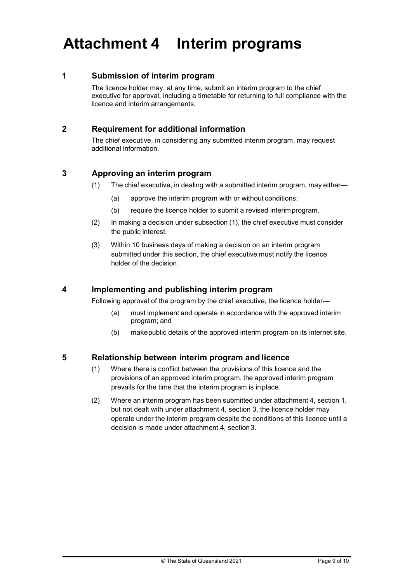# Attachment 4 Interim programs

### 1 Submission of interim program

The licence holder may, at any time, submit an interim program to the chief executive for approval, including a timetable for returning to full compliance with the licence and interim arrangements.

### 2 Requirement for additional information

The chief executive, in considering any submitted interim program, may request additional information.

## 3 Approving an interim program

- (1) The chief executive, in dealing with a submitted interim program, may either—
	- (a) approve the interim program with or without conditions;
	- (b) require the licence holder to submit a revised interim program.
- (2) In making a decision under subsection (1), the chief executive must consider the public interest.
- (3) Within 10 business days of making a decision on an interim program submitted under this section, the chief executive must notify the licence holder of the decision.

#### 4 Implementing and publishing interim program

Following approval of the program by the chief executive, the licence holder—

- (a) must implement and operate in accordance with the approved interim program; and
- (b) make public details of the approved interim program on its internet site.

#### 5 Relationship between interim program and licence

- (1) Where there is conflict between the provisions of this licence and the provisions of an approved interim program, the approved interim program prevails for the time that the interim program is in place.
- (2) Where an interim program has been submitted under attachment 4, section 1, but not dealt with under attachment 4, section 3, the licence holder may operate under the interim program despite the conditions of this licence until a decision is made under attachment 4, section 3.